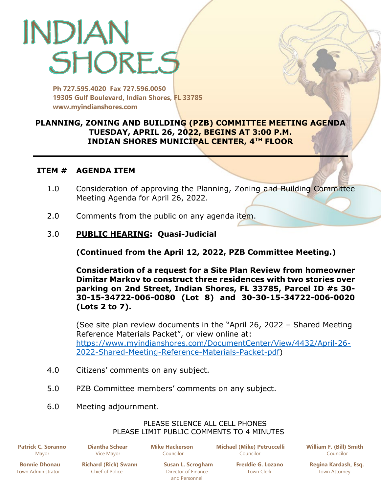# INDIAN SHORES

**Ph 727.595.4020 Fax 727.596.0050 19305 Gulf Boulevard, Indian Shores, FL 33785 www.myindianshores.com**

# **PLANNING, ZONING AND BUILDING (PZB) COMMITTEE MEETING AGENDA TUESDAY, APRIL 26, 2022, BEGINS AT 3:00 P.M. INDIAN SHORES MUNICIPAL CENTER, 4TH FLOOR**

### **ITEM # AGENDA ITEM**

- 1.0 Consideration of approving the Planning, Zoning and Building Committee Meeting Agenda for April 26, 2022.
- 2.0 Comments from the public on any agenda item.

# 3.0 **PUBLIC HEARING: Quasi-Judicial**

**(Continued from the April 12, 2022, PZB Committee Meeting.)**

**Consideration of a request for a Site Plan Review from homeowner Dimitar Markov to construct three residences with two stories over parking on 2nd Street, Indian Shores, FL 33785, Parcel ID #s 30- 30-15-34722-006-0080 (Lot 8) and 30-30-15-34722-006-0020 (Lots 2 to 7).**

(See site plan review documents in the "April 26, 2022 – Shared Meeting Reference Materials Packet", or view online at: [https://www.myindianshores.com/DocumentCenter/View/4432/April-26-](https://www.myindianshores.com/DocumentCenter/View/4432/April-26-2022-Shared-Meeting-Reference-Materials-Packet-pdf) [2022-Shared-Meeting-Reference-Materials-Packet-pdf\)](https://www.myindianshores.com/DocumentCenter/View/4432/April-26-2022-Shared-Meeting-Reference-Materials-Packet-pdf)

- 4.0 Citizens' comments on any subject.
- 5.0 PZB Committee members' comments on any subject.
- 6.0 Meeting adjournment.

#### PLEASE SILENCE ALL CELL PHONES PLEASE LIMIT PUBLIC COMMENTS TO 4 MINUTES

 **Patrick C. Soranno Diantha Schear Mike Hackerson Michael (Mike) Petruccelli William F. (Bill) Smith** Mayor Vice Mayor Councilor Councilor Councilor

 **Bonnie Dhonau Richard (Rick) Swann Susan L. Scrogham Freddie G. Lozano Regina Kardash, Esq.** Town Administrator **Chief of Police Chief of Police** Director of Finance Town Clerk Town Attorney

and Personnel